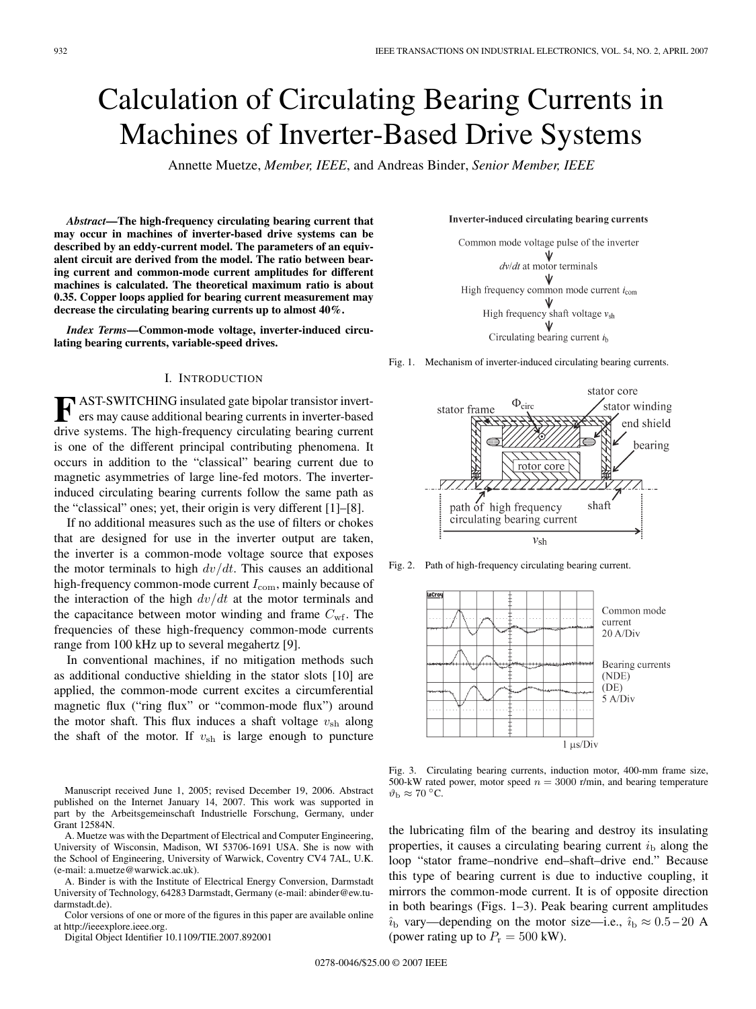# Calculation of Circulating Bearing Currents in Machines of Inverter-Based Drive Systems

Annette Muetze, *Member, IEEE*, and Andreas Binder, *Senior Member, IEEE*

*Abstract***—The high-frequency circulating bearing current that may occur in machines of inverter-based drive systems can be described by an eddy-current model. The parameters of an equivalent circuit are derived from the model. The ratio between bearing current and common-mode current amplitudes for different machines is calculated. The theoretical maximum ratio is about 0.35. Copper loops applied for bearing current measurement may decrease the circulating bearing currents up to almost 40%.**

*Index Terms***—Common-mode voltage, inverter-induced circulating bearing currents, variable-speed drives.**

### I. INTRODUCTION

**F** AST-SWITCHING insulated gate bipolar transistor inverters may cause additional bearing currents in inverter-based drive systems. The high-frequency circulating bearing current is one of the different principal contributing phenomena. It occurs in addition to the "classical" bearing current due to magnetic asymmetries of large line-fed motors. The inverterinduced circulating bearing currents follow the same path as the "classical" ones; yet, their origin is very different [1]–[8].

If no additional measures such as the use of filters or chokes that are designed for use in the inverter output are taken, the inverter is a common-mode voltage source that exposes the motor terminals to high  $dv/dt$ . This causes an additional high-frequency common-mode current  $I_{\text{com}}$ , mainly because of the interaction of the high  $dv/dt$  at the motor terminals and the capacitance between motor winding and frame  $C_{\text{wf}}$ . The frequencies of these high-frequency common-mode currents range from 100 kHz up to several megahertz [9].

In conventional machines, if no mitigation methods such as additional conductive shielding in the stator slots [10] are applied, the common-mode current excites a circumferential magnetic flux ("ring flux" or "common-mode flux") around the motor shaft. This flux induces a shaft voltage  $v_{\rm sh}$  along the shaft of the motor. If  $v_{\rm sh}$  is large enough to puncture

Manuscript received June 1, 2005; revised December 19, 2006. Abstract published on the Internet January 14, 2007. This work was supported in part by the Arbeitsgemeinschaft Industrielle Forschung, Germany, under Grant 12584N.

A. Muetze was with the Department of Electrical and Computer Engineering, University of Wisconsin, Madison, WI 53706-1691 USA. She is now with the School of Engineering, University of Warwick, Coventry CV4 7AL, U.K. (e-mail: a.muetze@warwick.ac.uk).

A. Binder is with the Institute of Electrical Energy Conversion, Darmstadt University of Technology, 64283 Darmstadt, Germany (e-mail: abinder@ew.tudarmstadt.de).

Color versions of one or more of the figures in this paper are available online at http://ieeexplore.ieee.org.

Digital Object Identifier 10.1109/TIE.2007.892001

#### Inverter-induced circulating bearing currents



Fig. 1. Mechanism of inverter-induced circulating bearing currents.



Fig. 2. Path of high-frequency circulating bearing current.



Fig. 3. Circulating bearing currents, induction motor, 400-mm frame size, 500-kW rated power, motor speed  $n = 3000$  r/min, and bearing temperature  $\vartheta_{\rm b} \approx 70$  °C.

the lubricating film of the bearing and destroy its insulating properties, it causes a circulating bearing current  $i<sub>b</sub>$  along the loop "stator frame–nondrive end–shaft–drive end." Because this type of bearing current is due to inductive coupling, it mirrors the common-mode current. It is of opposite direction in both bearings (Figs. 1–3). Peak bearing current amplitudes  $\hat{i}_{\rm b}$  vary—depending on the motor size—i.e.,  $\hat{i}_{\rm b} \approx 0.5 - 20$  A (power rating up to  $P_r = 500$  kW).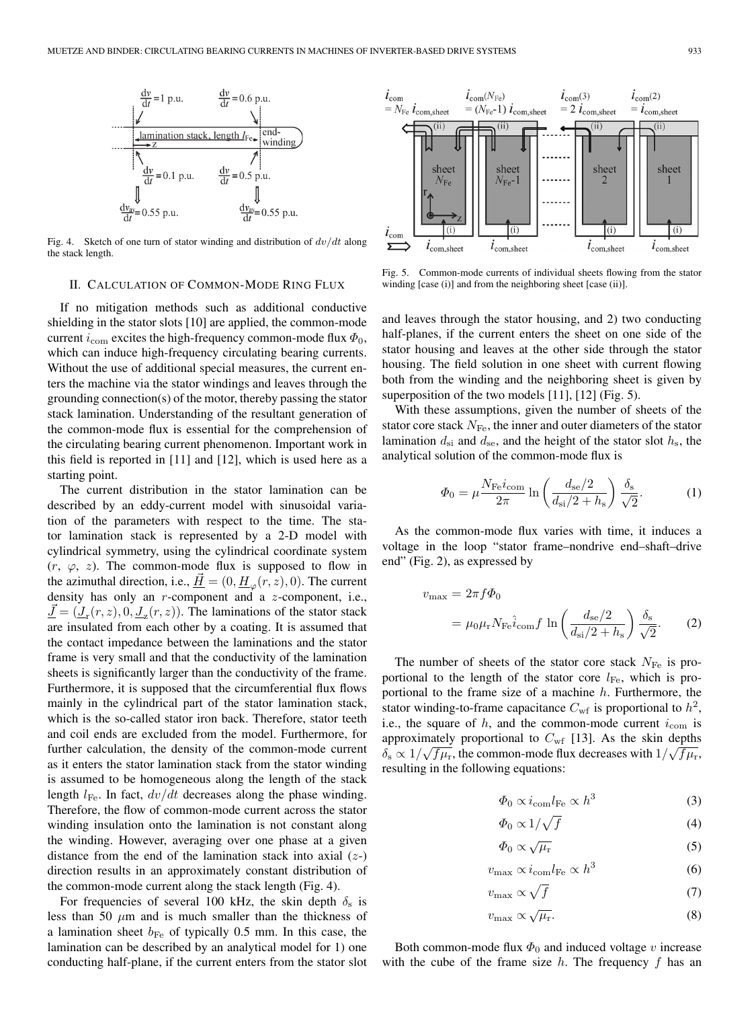

Fig. 4. Sketch of one turn of stator winding and distribution of  $dv/dt$  along the stack length.

#### II. CALCULATION OF COMMON-MODE RING FLUX

If no mitigation methods such as additional conductive shielding in the stator slots [10] are applied, the common-mode current  $i_{\text{com}}$  excites the high-frequency common-mode flux  $\Phi_0$ , which can induce high-frequency circulating bearing currents. Without the use of additional special measures, the current enters the machine via the stator windings and leaves through the grounding connection(s) of the motor, thereby passing the stator stack lamination. Understanding of the resultant generation of the common-mode flux is essential for the comprehension of the circulating bearing current phenomenon. Important work in this field is reported in [11] and [12], which is used here as a starting point.

The current distribution in the stator lamination can be described by an eddy-current model with sinusoidal variation of the parameters with respect to the time. The stator lamination stack is represented by a 2-D model with cylindrical symmetry, using the cylindrical coordinate system  $(r, \varphi, z)$ . The common-mode flux is supposed to flow in the azimuthal direction, i.e.,  $\underline{H} = (0, \underline{H}_{\varphi}(r, z), 0)$ . The current density has only an r-component and a z-component, i.e.,  $\underline{J} = (\underline{J}_{r}(r, z), 0, \underline{J}_{z}(r, z))$ . The laminations of the stator stack are insulated from each other by a coating. It is assumed that the contact impedance between the laminations and the stator frame is very small and that the conductivity of the lamination sheets is significantly larger than the conductivity of the frame. Furthermore, it is supposed that the circumferential flux flows mainly in the cylindrical part of the stator lamination stack, which is the so-called stator iron back. Therefore, stator teeth and coil ends are excluded from the model. Furthermore, for further calculation, the density of the common-mode current as it enters the stator lamination stack from the stator winding is assumed to be homogeneous along the length of the stack length  $l_{\text{Fe}}$ . In fact,  $dv/dt$  decreases along the phase winding. Therefore, the flow of common-mode current across the stator winding insulation onto the lamination is not constant along the winding. However, averaging over one phase at a given distance from the end of the lamination stack into axial  $(z)$ direction results in an approximately constant distribution of the common-mode current along the stack length (Fig. 4).

For frequencies of several 100 kHz, the skin depth  $\delta_s$  is less than 50  $\mu$ m and is much smaller than the thickness of a lamination sheet  $b_{\text{Fe}}$  of typically 0.5 mm. In this case, the lamination can be described by an analytical model for 1) one conducting half-plane, if the current enters from the stator slot



Fig. 5. Common-mode currents of individual sheets flowing from the stator winding [case (i)] and from the neighboring sheet [case (ii)].

and leaves through the stator housing, and 2) two conducting half-planes, if the current enters the sheet on one side of the stator housing and leaves at the other side through the stator housing. The field solution in one sheet with current flowing both from the winding and the neighboring sheet is given by superposition of the two models [11], [12] (Fig. 5).

With these assumptions, given the number of sheets of the stator core stack  $N_{\text{Fe}}$ , the inner and outer diameters of the stator lamination  $d_{si}$  and  $d_{se}$ , and the height of the stator slot  $h_s$ , the analytical solution of the common-mode flux is

$$
\Phi_0 = \mu \frac{N_{\rm Fe} i_{\rm com}}{2\pi} \ln \left( \frac{d_{\rm se}/2}{d_{\rm si}/2 + h_{\rm s}} \right) \frac{\delta_{\rm s}}{\sqrt{2}}.
$$
 (1)

As the common-mode flux varies with time, it induces a voltage in the loop "stator frame–nondrive end–shaft–drive end" (Fig. 2), as expressed by

$$
v_{\text{max}} = 2\pi f \Phi_0
$$
  
=  $\mu_0 \mu_r N_{\text{Fe}} \hat{i}_{\text{com}} f \ln \left( \frac{d_{\text{se}}/2}{d_{\text{si}}/2 + h_{\text{s}}} \right) \frac{\delta_{\text{s}}}{\sqrt{2}}$ . (2)

The number of sheets of the stator core stack  $N_{\text{Fe}}$  is proportional to the length of the stator core  $l_{\text{Fe}}$ , which is proportional to the frame size of a machine  $h$ . Furthermore, the stator winding-to-frame capacitance  $C_{\rm wf}$  is proportional to  $h^2$ , i.e., the square of  $h$ , and the common-mode current  $i_{\text{com}}$  is approximately proportional to  $C_{\text{wf}}$  [13]. As the skin depths approximately proportional to  $C_{\text{wf}}$  [15]. As the skill depths  $\delta_{\text{s}} \propto 1/\sqrt{f\mu_{\text{r}}},$  the common-mode flux decreases with  $1/\sqrt{f\mu_{\text{r}}},$ resulting in the following equations:

$$
\Phi_0 \propto i_{\text{com}} l_{\text{Fe}} \propto h^3 \tag{3}
$$

$$
\varPhi_0 \propto 1/\sqrt{f} \tag{4}
$$

$$
\Phi_0 \propto \sqrt{\mu_r} \tag{5}
$$

$$
v_{\text{max}} \propto i_{\text{com}} l_{\text{Fe}} \propto h^3 \tag{6}
$$

$$
v_{\text{max}} \propto \sqrt{f} \tag{7}
$$

$$
v_{\text{max}} \propto \sqrt{\mu_{\text{r}}}.\tag{8}
$$

Both common-mode flux  $\Phi_0$  and induced voltage v increase with the cube of the frame size  $h$ . The frequency  $f$  has an